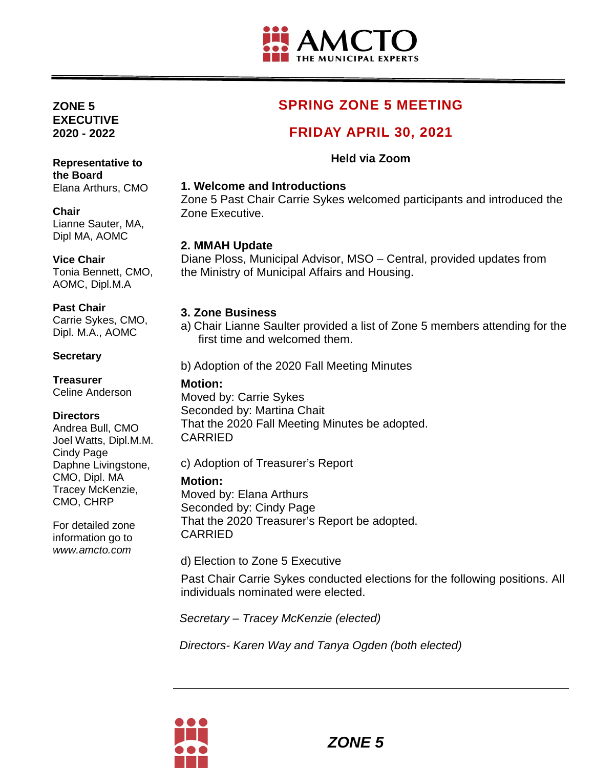

# **SPRING ZONE 5 MEETING**

## **FRIDAY APRIL 30, 2021**

#### **Held via Zoom**

#### **1. Welcome and Introductions**

Zone 5 Past Chair Carrie Sykes welcomed participants and introduced the Zone Executive.

#### **2. MMAH Update**

Diane Ploss, Municipal Advisor, MSO – Central, provided updates from the Ministry of Municipal Affairs and Housing.

#### **3. Zone Business**

a) Chair Lianne Saulter provided a list of Zone 5 members attending for the first time and welcomed them.

b) Adoption of the 2020 Fall Meeting Minutes

#### **Motion:**

Moved by: Carrie Sykes Seconded by: Martina Chait That the 2020 Fall Meeting Minutes be adopted. CARRIED

c) Adoption of Treasurer's Report

#### **Motion:**

Moved by: Elana Arthurs Seconded by: Cindy Page That the 2020 Treasurer's Report be adopted. CARRIED

d) Election to Zone 5 Executive

Past Chair Carrie Sykes conducted elections for the following positions. All individuals nominated were elected.

*Secretary – Tracey McKenzie (elected)*

*Directors- Karen Way and Tanya Ogden (both elected)*



# Elana Arthurs, CMO **Chair**

**ZONE 5 EXECUTIVE 2020 - 2022**

Lianne Sauter, MA, Dipl MA, AOMC

**Representative to** 

#### **Vice Chair**

**the Board** 

Tonia Bennett, CMO, AOMC, Dipl.M.A

#### **Past Chair**

Carrie Sykes, CMO, Dipl. M.A., AOMC

#### **Secretary**

**Treasurer** Celine Anderson

#### **Directors**

Andrea Bull, CMO Joel Watts, Dipl.M.M. Cindy Page Daphne Livingstone, CMO, Dipl. MA Tracey McKenzie, CMO, CHRP

For detailed zone information go to *www.amcto.com*

*ZONE 5*